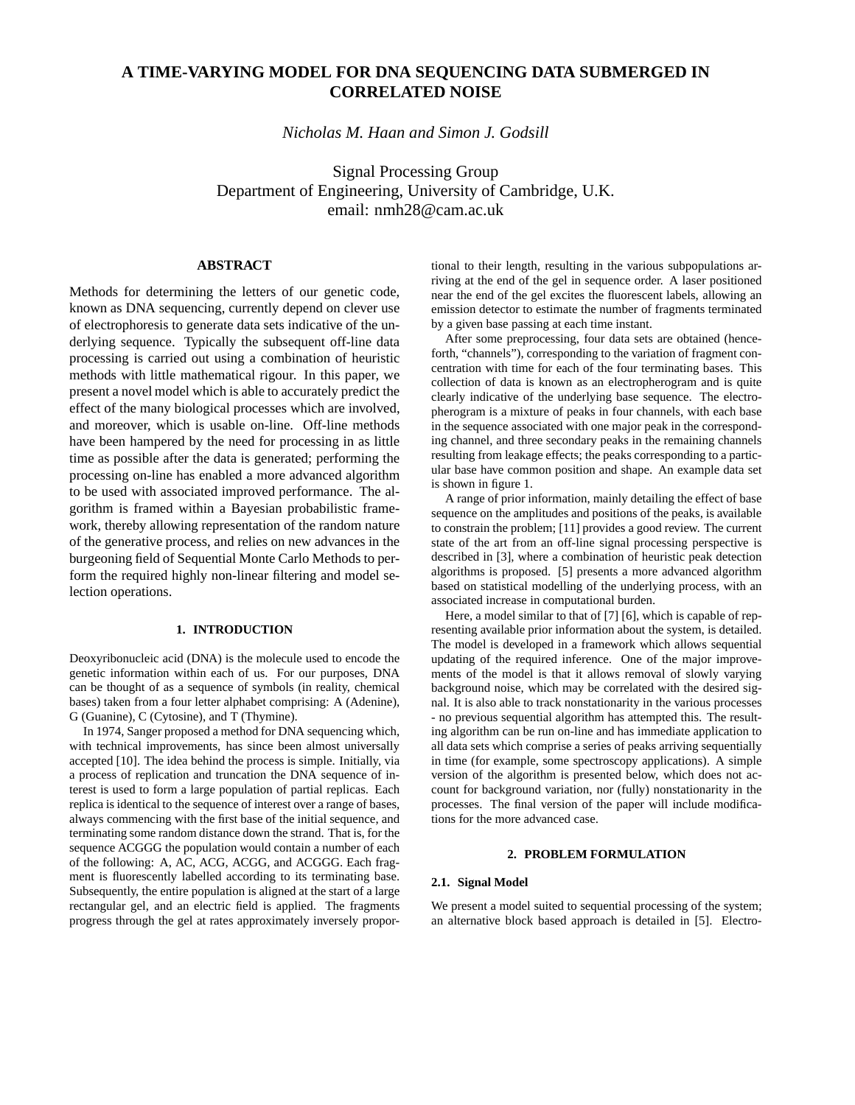# **A TIME-VARYING MODEL FOR DNA SEQUENCING DATA SUBMERGED IN CORRELATED NOISE**

*Nicholas M. Haan and Simon J. Godsill*

Signal Processing Group Department of Engineering, University of Cambridge, U.K. email: nmh28@cam.ac.uk

# **ABSTRACT**

Methods for determining the letters of our genetic code, known as DNA sequencing, currently depend on clever use of electrophoresis to generate data sets indicative of the underlying sequence. Typically the subsequent off-line data processing is carried out using a combination of heuristic methods with little mathematical rigour. In this paper, we present a novel model which is able to accurately predict the effect of the many biological processes which are involved, and moreover, which is usable on-line. Off-line methods have been hampered by the need for processing in as little time as possible after the data is generated; performing the processing on-line has enabled a more advanced algorithm to be used with associated improved performance. The algorithm is framed within a Bayesian probabilistic framework, thereby allowing representation of the random nature of the generative process, and relies on new advances in the burgeoning field of Sequential Monte Carlo Methods to perform the required highly non-linear filtering and model selection operations.

# **1. INTRODUCTION**

Deoxyribonucleic acid (DNA) is the molecule used to encode the genetic information within each of us. For our purposes, DNA can be thought of as a sequence of symbols (in reality, chemical bases) taken from a four letter alphabet comprising: A (Adenine), G (Guanine), C (Cytosine), and T (Thymine).

In 1974, Sanger proposed a method for DNA sequencing which, with technical improvements, has since been almost universally accepted [10]. The idea behind the process is simple. Initially, via a process of replication and truncation the DNA sequence of interest is used to form a large population of partial replicas. Each replica is identical to the sequence of interest over a range of bases, always commencing with the first base of the initial sequence, and terminating some random distance down the strand. That is, for the sequence ACGGG the population would contain a number of each of the following: A, AC, ACG, ACGG, and ACGGG. Each fragment is fluorescently labelled according to its terminating base. Subsequently, the entire population is aligned at the start of a large rectangular gel, and an electric field is applied. The fragments progress through the gel at rates approximately inversely proportional to their length, resulting in the various subpopulations arriving at the end of the gel in sequence order. A laser positioned near the end of the gel excites the fluorescent labels, allowing an emission detector to estimate the number of fragments terminated by a given base passing at each time instant.

After some preprocessing, four data sets are obtained (henceforth, "channels"), corresponding to the variation of fragment concentration with time for each of the four terminating bases. This collection of data is known as an electropherogram and is quite clearly indicative of the underlying base sequence. The electropherogram is a mixture of peaks in four channels, with each base in the sequence associated with one major peak in the corresponding channel, and three secondary peaks in the remaining channels resulting from leakage effects; the peaks corresponding to a particular base have common position and shape. An example data set is shown in figure 1.

A range of prior information, mainly detailing the effect of base sequence on the amplitudes and positions of the peaks, is available to constrain the problem; [11] provides a good review. The current state of the art from an off-line signal processing perspective is described in [3], where a combination of heuristic peak detection algorithms is proposed. [5] presents a more advanced algorithm based on statistical modelling of the underlying process, with an associated increase in computational burden.

Here, a model similar to that of [7] [6], which is capable of representing available prior information about the system, is detailed. The model is developed in a framework which allows sequential updating of the required inference. One of the major improvements of the model is that it allows removal of slowly varying background noise, which may be correlated with the desired signal. It is also able to track nonstationarity in the various processes - no previous sequential algorithm has attempted this. The resulting algorithm can be run on-line and has immediate application to all data sets which comprise a series of peaks arriving sequentially in time (for example, some spectroscopy applications). A simple version of the algorithm is presented below, which does not account for background variation, nor (fully) nonstationarity in the processes. The final version of the paper will include modifications for the more advanced case.

# **2. PROBLEM FORMULATION**

#### **2.1. Signal Model**

We present a model suited to sequential processing of the system; an alternative block based approach is detailed in [5]. Electro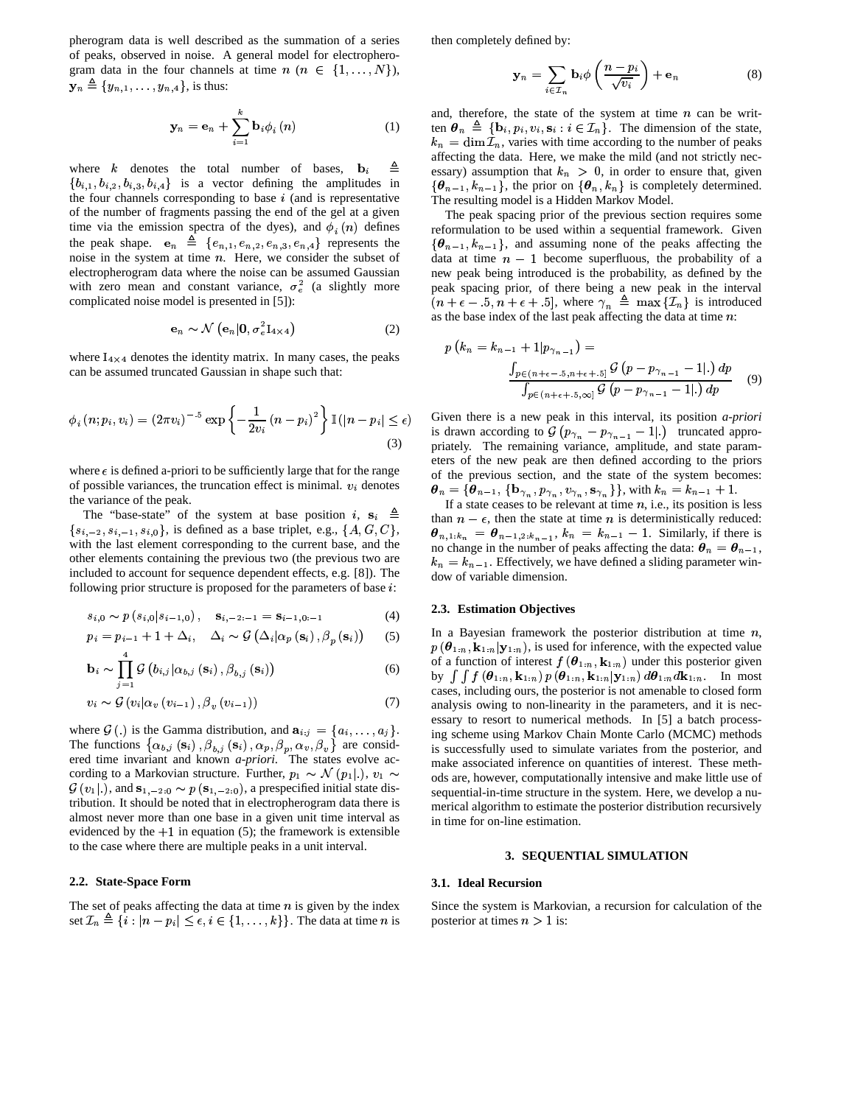pherogram data is well described as the summation of a series of peaks, observed in noise. A general model for electropherogram data in the four channels at time  $n (n \in \{1, ..., N\})$ ,  $\mathbf{y}_n \triangleq \{y_{n,1}, \ldots, y_{n,4}\},\$  is thus:

$$
\mathbf{y}_n = \mathbf{e}_n + \sum_{i=1}^k \mathbf{b}_i \phi_i(n) \tag{1}
$$

where  $k$  denotes the total number of bases,  $\{a_1, b_{i,2}, b_{i,3}, b_{i,4}\}$  is a vector defining the amplitudes in ≜ the four channels corresponding to base  $i$  (and is representative of the number of fragments passing the end of the gel at a given<br>time via the emission spectra of the dyes), and  $\phi_i(n)$  defines the peak shape.  $\mathbf{e}_n \triangleq \{e_{n,1}, e_{n,2}, e_{n,3}, e_{n,4}\}\$  represents the noise in the system at time  $n$ . Here, we consider the subset of electropherogram data where the noise can be assumed Gaussian with zero mean and constant variance,  $\sigma_e^2$  (a slightly more complicated noise model is presented in [5]):

$$
\mathbf{e}_n \sim \mathcal{N}\left(\mathbf{e}_n | \mathbf{0}, \sigma_e^2 \mathbf{I}_{4 \times 4}\right) \tag{2}
$$

where  $I_{4\times 4}$  denotes the identity matrix. In many cases, the peaks can be assumed truncated Gaussian in shape such that:

$$
\phi_i(n; p_i, v_i) = (2\pi v_i)^{-.5} \exp\left\{-\frac{1}{2v_i}(n - p_i)^2\right\} \mathbb{I}(|n - p_i| \le \epsilon)
$$
\n(3)

where  $\epsilon$  is defined a-priori to be sufficiently large that for the range of possible variances, the truncation effect is minimal.  $v_i$  denotes the variance of the peak.

The "base-state" of the system at base position  $i$ ,  $\mathbf{s}_i \triangleq$  $\{s_{i,-2}, s_{i,-1}, s_{i,0}\}\$ , is defined as a base triplet, e.g.,  $\{A, G, C\}\$ ,  $\boldsymbol{\theta}$ with the last element corresponding to the current base, and the other elements containing the previous two (the previous two are included to account for sequence dependent effects, e.g. [8]). The following prior structure is proposed for the parameters of base  $i$ :

$$
s_{i,0} \sim p(s_{i,0}|s_{i-1,0}), \quad s_{i,-2:-1} = s_{i-1,0:-1} \tag{4}
$$

$$
p_{i} = p_{i-1} + 1 + \Delta_{i}, \quad \Delta_{i} \sim \mathcal{G}\left(\Delta_{i}|\alpha_{p}\left(\mathbf{s}_{i}\right), \beta_{p}\left(\mathbf{s}_{i}\right)\right) \tag{5}
$$

$$
\mathbf{b}_{i} \sim \prod_{j=1}^{4} \mathcal{G}\left(b_{i,j} | \alpha_{b,j}\left(\mathbf{s}_{i}\right), \beta_{b,j}\left(\mathbf{s}_{i}\right)\right) \tag{6}
$$

$$
v_i \sim \mathcal{G}\left(v_i|\alpha_v\left(v_{i-1}\right), \beta_v\left(v_{i-1}\right)\right) \tag{7}
$$

where  $\mathcal{G}(.)$  is the Gamma distribution, and  $\mathbf{a}_{i:j} = \{a_i, \ldots, a_j\}$ . in The functions  $\{\alpha_{b,j}(\mathbf{s}_i), \beta_{b,i}(\mathbf{s}_i), \alpha_p, \beta_n, \alpha_v, \beta_v\}$  are considered time invariant and known *a-priori*. The states evolve according to a Markovian structure. Further,  $p_1 \sim \mathcal{N}(p_1|.)$ ,  $v_1 \sim$  ods  $\mathcal{G}(v_1|.)$ , and  $\mathbf{s}_{1,-2:0} \sim p(\mathbf{s}_{1,-2:0})$ , a prespecified initial state dis-, , tribution. It should be noted that in electropherogram data there is almost never more than one base in a given unit time interval as evidenced by the  $+1$  in equation (5); the framework is extensible to the case where there are multiple peaks in a unit interval.

# **2.2. State-Space Form**

The set of peaks affecting the data at time  $n$  is given by the index The set of peaks affecting the data at time *n* is given by the index<br>set  $\mathcal{I}_n \triangleq \{i : |n - p_i| \le \epsilon, i \in \{1, ..., k\}\}\.$  The data at time *n* is post

then completely defined by:

$$
\mathbf{y}_n = \sum_{i \in \mathcal{I}_n} \mathbf{b}_i \phi \left( \frac{n - p_i}{\sqrt{v_i}} \right) + \mathbf{e}_n \tag{8}
$$

 $\{\boldsymbol{\theta}_{n-1}, k_{n-1}\}\$ , the prior on  $\{\boldsymbol{\theta}_n, k_n\}$  is completely determined. essary) assumption that  $k_n > 0$ , in order to ensure that, given and, therefore, the state of the system at time *n* can be written  $\theta_n \triangleq {\mathbf{b}_i, p_i, v_i, \mathbf{s}_i : i \in \mathcal{I}_n}$ . The dimension of the state,  $k_n = \dim \mathcal{I}_n$ , varies with time according to the number of peaks affecting the data. Here, we make the mild (and not strictly nec-The resulting model is a Hidden Markov Model.

The peak spacing prior of the previous section requires some reformulation to be used within a sequential framework. Given  $\{\theta_{n-1}, k_{n-1}\}\$ , and assuming none of the peaks affecting the data at time  $n-1$  become superfluous, the probability of a new peak being introduced is the probability, as defined by the peak spacing prior, of there being a new peak in the interval  $+ \epsilon - 5$ ,  $n + \epsilon + 5$ , where  $\gamma_n \triangleq \max \{\mathcal{I}_n\}$  is introduced as the base index of the last peak affecting the data at time  $n$ :

$$
p(k_n = k_{n-1} + 1 | p_{\gamma_{n-1}}) =
$$
  

$$
\frac{\int_{p \in (n+\epsilon-5, n+\epsilon+.5]} G (p - p_{\gamma_{n-1}} - 1 |.) dp}{\int_{p \in (n+\epsilon+.5, \infty]} G (p - p_{\gamma_{n-1}} - 1 |.) dp}
$$
 (9)

 . Given there is a new peak in this interval, its position *a-priori* Given there is a new peak in this interval, its position *a-priori* is drawn according to  $G(p_{\gamma_n} - p_{\gamma_{n-1}} - 1|)$  truncated appropriately. The remaining variance, amplitude, and state parameters of the new peak are then defined according to the priors of the previous section, and the state of the system becomes:  $\theta_n = {\theta_{n-1}, \{\mathbf{b}_{\gamma_n}, p_{\gamma_n}, v_{\gamma_n}, \mathbf{s}_{\gamma_n}\}}$ , with  $k_n = k_{n-1} + 1$ .

than  $n - \epsilon$ , then the state at time *n* is deterministically reduced: If a state ceases to be relevant at time  $n$ , i.e., its position is less than  $n - \epsilon$ , then the state at time *n* is deterministically reduced:<br> $\theta_{n,1:k_n} = \theta_{n-1,2:k_{n-1}}, k_n = k_{n-1} - 1$ . Similarly, if there is no change in the number of peaks affecting the data:  $\theta_n = \theta_{n-1}$ ,  $k_n = k_{n-1}$ . Effectively, we have defined a sliding parameter window of variable dimension.

### **2.3. Estimation Objectives**

 $, v_1 \sim$  ods are, however, computationally intensive and make little use of In a Bayesian framework the posterior distribution at time  $n$ ,  $p(\theta_{1:n}, \mathbf{k}_{1:n} | \mathbf{y}_{1:n})$ , is used for inference, with the expected value of a function of interest  $f(\theta_{1:n}, \mathbf{k}_{1:n})$  under this posterior given by  $\int \int f(\boldsymbol{\theta}_{1:n}, \mathbf{k}_{1:n}) p(\boldsymbol{\theta}_{1:n}, \mathbf{k}_{1:n} | \mathbf{y}_{1:n}) d\boldsymbol{\theta}_{1:n} d\mathbf{k}_{1:n}$ . In most io<br>( cases, including ours, the posterior is not amenable to closed form analysis owing to non-linearity in the parameters, and it is necessary to resort to numerical methods. In [5] a batch processing scheme using Markov Chain Monte Carlo (MCMC) methods is successfully used to simulate variates from the posterior, and make associated inference on quantities of interest. These methsequential-in-time structure in the system. Here, we develop a numerical algorithm to estimate the posterior distribution recursively in time for on-line estimation.

#### **3. SEQUENTIAL SIMULATION**

#### **3.1. Ideal Recursion**

Since the system is Markovian, a recursion for calculation of the posterior at times  $n > 1$  is: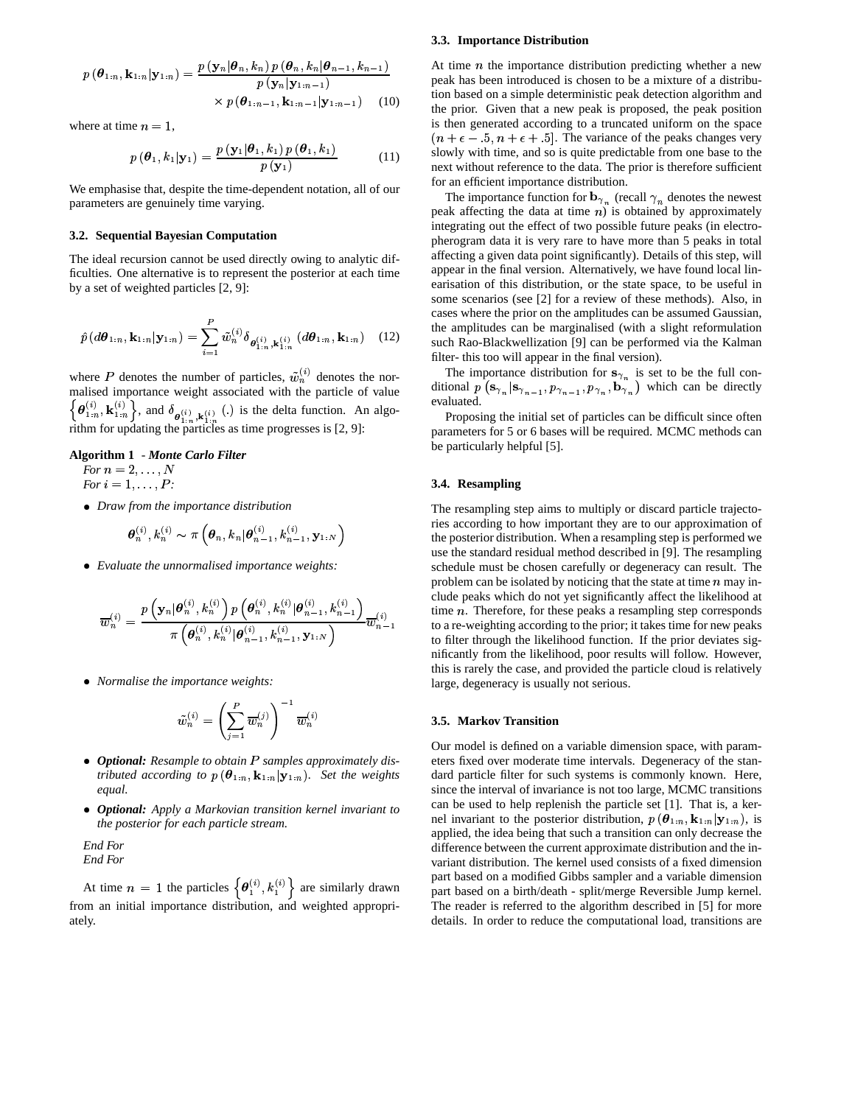$$
p(\boldsymbol{\theta}_{1:n}, \mathbf{k}_{1:n}|\mathbf{y}_{1:n}) = \frac{p(\mathbf{y}_n|\boldsymbol{\theta}_n, k_n)p(\boldsymbol{\theta}_n, k_n|\boldsymbol{\theta}_{n-1}, k_{n-1})}{p(\mathbf{y}_n|\mathbf{y}_{1:n-1})} \times p(\boldsymbol{\theta}_{1:n-1}, \mathbf{k}_{1:n-1}|\mathbf{y}_{1:n-1}) \quad (10)
$$

where at time  $n = 1$ ,

$$
p(\boldsymbol{\theta}_1, k_1 | \mathbf{y}_1) = \frac{p(\mathbf{y}_1 | \boldsymbol{\theta}_1, k_1) p(\boldsymbol{\theta}_1, k_1)}{p(\mathbf{y}_1)}
$$
(11)

We emphasise that, despite the time-dependent notation, all of our parameters are genuinely time varying.

# 3.2. Sequential Bavesian Computation

The ideal recursion cannot be used directly owing to analytic difficulties. One alternative is to represent the posterior at each time by a set of weighted particles  $[2, 9]$ :

$$
\hat{p}(d\theta_{1:n}, \mathbf{k}_{1:n}|\mathbf{y}_{1:n}) = \sum_{i=1}^{P} \tilde{w}_{n}^{(i)} \delta_{\theta_{1:n}^{(i)}, \mathbf{k}_{1:n}^{(i)}}(d\theta_{1:n}, \mathbf{k}_{1:n})
$$
 (12)

where P denotes the number of particles,  $\tilde{w}_n^{(i)}$  denotes the normalised importance weight associated with the particle of value  $\{\boldsymbol{\theta}_{1:n}^{(i)}, \mathbf{k}_{1:n}^{(i)}\}$ , and  $\delta_{\boldsymbol{\theta}_{1:n}^{(i)}, \mathbf{k}_{1:n}^{(i)}}$  (.) is the delta function. An algorithm for updating the particles as time progresses is [2, 9]:

#### Algorithm 1 - Monte Carlo Filter

For  $n = 2, \ldots, N$ For  $i = 1, \ldots, P$ :

• Draw from the importance distribution

$$
\boldsymbol{\theta}_n^{(i)}, k_n^{(i)} \sim \pi \left( \boldsymbol{\theta}_n, k_n | \boldsymbol{\theta}_{n-1}^{(i)}, k_{n-1}^{(i)}, \mathbf{y}_{1:N} \right)
$$

• Evaluate the unnormalised importance weights:

$$
\overline{w}_n^{(i)} = \frac{{p\left( {{\mathbf{y}}_n|\boldsymbol{\theta}_n^{(i)},k_n^{(i)}} \right)p\left( \boldsymbol{\theta}_n^{(i)},k_n^{(i)}|\boldsymbol{\theta}_{n-1}^{(i)},k_{n-1}^{(i)}} \right)}}{{\pi \left( \boldsymbol{\theta}_n^{(i)},k_n^{(i)}|\boldsymbol{\theta}_{n-1}^{(i)},k_{n-1}^{(i)},\mathbf{y}_{1:N} \right)}}\overline{w}_{n-1}^{(i)}
$$

• Normalise the importance weights:

$$
\tilde{w}_n^{(i)} = \left(\sum_{j=1}^P \overline{w}_n^{(j)}\right)^{-1} \overline{w}_n^{(i)}
$$

- Optional: Resample to obtain P samples approximately distributed according to  $p(\theta_{1:n}, \mathbf{k}_{1:n}|\mathbf{y}_{1:n})$ . Set the weights equal.
- Optional: Apply a Markovian transition kernel invariant to the posterior for each particle stream.

End For End For

At time  $n = 1$  the particles  $\{\theta_1^{(i)}, k_1^{(i)}\}$  are similarly drawn from an initial importance distribution, and weighted appropriately.

#### 3.3. Importance Distribution

At time  $n$  the importance distribution predicting whether a new peak has been introduced is chosen to be a mixture of a distribution based on a simple deterministic peak detection algorithm and the prior. Given that a new peak is proposed, the peak position is then generated according to a truncated uniform on the space  $(n + \epsilon - 5, n + \epsilon + 5]$ . The variance of the peaks changes very slowly with time, and so is quite predictable from one base to the next without reference to the data. The prior is therefore sufficient for an efficient importance distribution.

The importance function for  $\mathbf{b}_{\gamma_n}$  (recall  $\gamma_n$  denotes the newest peak affecting the data at time  $n$ ) is obtained by approximately integrating out the effect of two possible future peaks (in electropherogram data it is very rare to have more than 5 peaks in total affecting a given data point significantly). Details of this step, will appear in the final version. Alternatively, we have found local linearisation of this distribution, or the state space, to be useful in some scenarios (see [2] for a review of these methods). Also, in cases where the prior on the amplitudes can be assumed Gaussian, the amplitudes can be marginalised (with a slight reformulation such Rao-Blackwellization [9] can be performed via the Kalman filter- this too will appear in the final version).

The importance distribution for  $\mathbf{s}_{\gamma_n}$  is set to be the full conditional  $p(\mathbf{s}_{\gamma_n}|\mathbf{s}_{\gamma_{n-1}}, p_{\gamma_{n-1}}, p_{\gamma_n}, \mathbf{b}_{\gamma_n})$  which can be directly evaluated.

Proposing the initial set of particles can be difficult since often parameters for 5 or 6 bases will be required. MCMC methods can be particularly helpful [5].

# 3.4. Resampling

The resampling step aims to multiply or discard particle trajectories according to how important they are to our approximation of the posterior distribution. When a resampling step is performed we use the standard residual method described in [9]. The resampling schedule must be chosen carefully or degeneracy can result. The problem can be isolated by noticing that the state at time  $n$  may include peaks which do not yet significantly affect the likelihood at time  $n$ . Therefore, for these peaks a resampling step corresponds to a re-weighting according to the prior; it takes time for new peaks to filter through the likelihood function. If the prior deviates significantly from the likelihood, poor results will follow. However, this is rarely the case, and provided the particle cloud is relatively large, degeneracy is usually not serious.

# 3.5. Markov Transition

Our model is defined on a variable dimension space, with parameters fixed over moderate time intervals. Degeneracy of the standard particle filter for such systems is commonly known. Here, since the interval of invariance is not too large, MCMC transitions can be used to help replenish the particle set [1]. That is, a kernel invariant to the posterior distribution,  $p(\theta_{1:n}, \mathbf{k}_{1:n} | \mathbf{y}_{1:n})$ , is applied, the idea being that such a transition can only decrease the difference between the current approximate distribution and the invariant distribution. The kernel used consists of a fixed dimension part based on a modified Gibbs sampler and a variable dimension part based on a birth/death - split/merge Reversible Jump kernel. The reader is referred to the algorithm described in [5] for more details. In order to reduce the computational load, transitions are